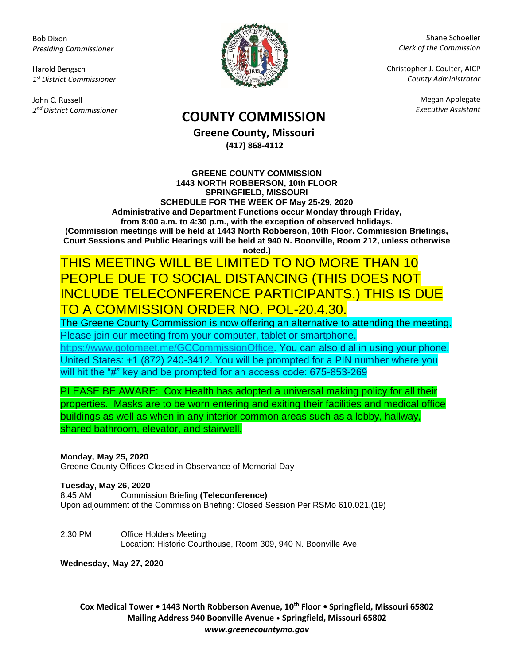Bob Dixon *Presiding Commissioner*

Harold Bengsch *1 st District Commissioner*

John C. Russell *2 nd District Commissioner*



Shane Schoeller *Clerk of the Commission*

Christopher J. Coulter, AICP *County Administrator*

Megan Applegate

# *Executive Assistant* **COUNTY COMMISSION**

**Greene County, Missouri (417) 868-4112**

**GREENE COUNTY COMMISSION 1443 NORTH ROBBERSON, 10th FLOOR SPRINGFIELD, MISSOURI SCHEDULE FOR THE WEEK OF May 25-29, 2020 Administrative and Department Functions occur Monday through Friday, from 8:00 a.m. to 4:30 p.m., with the exception of observed holidays. (Commission meetings will be held at 1443 North Robberson, 10th Floor. Commission Briefings, Court Sessions and Public Hearings will be held at 940 N. Boonville, Room 212, unless otherwise noted.)**

### THIS MEETING WILL BE LIMITED TO NO MORE THAN 10 PEOPLE DUE TO SOCIAL DISTANCING (THIS DOES NOT INCLUDE TELECONFERENCE PARTICIPANTS.) THIS IS DUE TO A COMMISSION ORDER NO. POL-20.4.30.

The Greene County Commission is now offering an alternative to attending the meeting. Please join our meeting from your computer, tablet or smartphone. [https://www.gotomeet.me/GCCommissionOffice.](https://www.gotomeet.me/GCCommissionOffice) You can also dial in using your phone. United States: +1 (872) 240-3412. You will be prompted for a PIN number where you will hit the "#" key and be prompted for an access code: 675-853-269

PLEASE BE AWARE: Cox Health has adopted a universal making policy for all their properties. Masks are to be worn entering and exiting their facilities and medical office buildings as well as when in any interior common areas such as a lobby, hallway, shared bathroom, elevator, and stairwell.

### **Monday, May 25, 2020**

Greene County Offices Closed in Observance of Memorial Day

#### **Tuesday, May 26, 2020**

8:45 AM Commission Briefing **(Teleconference)** Upon adjournment of the Commission Briefing: Closed Session Per RSMo 610.021.(19)

2:30 PM Office Holders Meeting Location: Historic Courthouse, Room 309, 940 N. Boonville Ave.

**Wednesday, May 27, 2020**

**Cox Medical Tower • 1443 North Robberson Avenue, 10th Floor • Springfield, Missouri 65802 Mailing Address 940 Boonville Avenue • Springfield, Missouri 65802** *www.greenecountymo.gov*